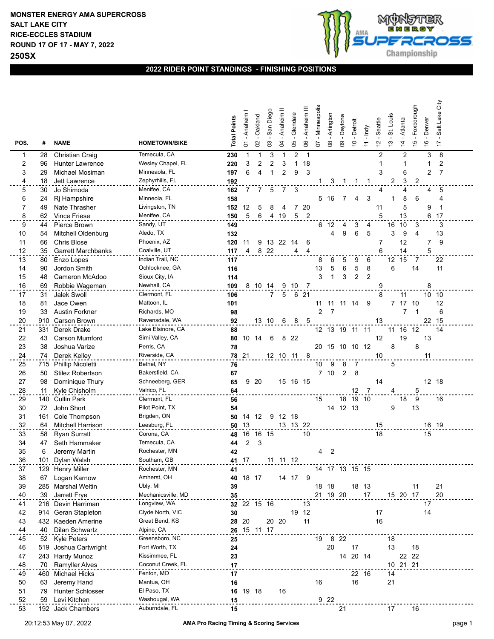

## **2022 RIDER POINT STANDINGS - FINISHING POSITIONS**

| POS.                    | #   | <b>NAME</b>               | <b>HOMETOWN/BIKE</b> | <b>Total Points</b> | - Anaheim<br>5 | Oakland<br>2 | San Diego<br>$\mathbf{C}$ | Anaheim <sup>II</sup><br>3 | Glendale<br>80 | Anaheim III<br>80 | Minneapolis<br>ρZ | Arlington<br>80 | - Daytona<br>$\mathbf{S}$ | - Detroit<br>$\overline{C}$ | - Indy<br>$\overline{r}$ | Seattle<br>$\overline{\mathcal{L}}$ | St. Louis<br>$\frac{1}{2}$ | - Atlanta<br>$\overline{4}$ | - Foxborough<br>$\frac{6}{1}$ | -Denver<br>$\frac{6}{5}$ | Salt Lake City<br>$\ddot{ }$ |  |
|-------------------------|-----|---------------------------|----------------------|---------------------|----------------|--------------|---------------------------|----------------------------|----------------|-------------------|-------------------|-----------------|---------------------------|-----------------------------|--------------------------|-------------------------------------|----------------------------|-----------------------------|-------------------------------|--------------------------|------------------------------|--|
| 1                       | 28  | <b>Christian Craig</b>    | Temecula, CA         | 230                 | 1              | 1            | 3                         |                            | 2              | $\mathbf{1}$      |                   |                 |                           |                             |                          | $\overline{2}$                      |                            | $\overline{c}$              |                               | 3                        | 8                            |  |
| $\overline{\mathbf{c}}$ | 96  | <b>Hunter Lawrence</b>    | Wesley Chapel, FL    | 220                 | 3              | 2            | 2                         | 3                          | 1              | 18                |                   |                 |                           |                             |                          | 1                                   |                            | 1                           |                               | 1                        | 2                            |  |
| 3                       | 29  | Michael Mosiman           | Minneaola, FL        | 197                 | 6              | 4            | 1                         | $\overline{2}$             | 9              | 3                 |                   |                 |                           |                             |                          | 3                                   |                            | 6                           |                               | 2                        | $\overline{7}$               |  |
| 4                       | 18  | Jett Lawrence             | Zephyrhills, FL      | 192                 |                |              |                           |                            |                |                   |                   |                 |                           |                             |                          |                                     | 2                          | 3                           | $\overline{\mathbf{c}}$       |                          |                              |  |
| 5                       | 30  | Jo Shimoda                | Menifee, CA          | 162                 | 7              | 7            | 5                         | 7                          | 3              |                   |                   |                 |                           |                             |                          | 4                                   |                            | 4                           |                               | 4                        | 5                            |  |
| 6                       | 24  | Rj Hampshire              | Minneola, FL         | 158                 |                |              |                           |                            |                |                   |                   | 5 16            | 7                         | 4                           | 3                        |                                     | $\mathbf 1$                | 8                           | 6                             |                          | 4                            |  |
| 7                       | 49  | Nate Thrasher             | Livingston, TN       | 152                 | 12             | 5            | 8                         | 4                          |                | 7 20              |                   |                 |                           |                             |                          | 11                                  |                            | 5                           |                               | 9                        | $\mathbf 1$                  |  |
| 8                       | 62  | Vince Friese              | Menifee, CA          | 150                 | 5              | 6            |                           | 4 19                       | 5 <sub>2</sub> |                   |                   |                 |                           |                             |                          | 5                                   |                            | 13                          |                               | 6                        | 17                           |  |
| 9                       | 44  | Pierce Brown              | Sandy, UT            | 149                 |                |              |                           |                            |                |                   | 6                 | 12              | 4                         | 3                           | 4                        |                                     | 16                         | 10                          | 3                             |                          | 3                            |  |
| 10                      | 54  | Mitchell Oldenburg        | Aledo, TX            | 132                 |                |              |                           |                            |                |                   |                   | 4               | 9                         | 6                           | 5                        |                                     | 3                          | 9                           | $\overline{4}$                |                          | 13                           |  |
| 11                      | 66  | <b>Chris Blose</b>        | Phoenix, AZ          | 120                 | 11             | 9            |                           | 13 22 14                   |                | 6                 |                   |                 |                           |                             |                          | 7                                   |                            | 12                          |                               | 7                        | 9                            |  |
| 12                      | 35  | <b>Garrett Marchbanks</b> | Coalville, UT        | 117                 | 4              |              | 8 2 2                     |                            | 4              | $\overline{4}$    |                   |                 |                           |                             |                          | 6                                   |                            | 14                          |                               | 5                        |                              |  |
| 13                      | 80  | Enzo Lopes                | Indian Trail, NC     | 117                 |                |              |                           |                            |                |                   | 8                 | 6               | 5                         | 9                           | 6                        |                                     | 12 15                      |                             | $\overline{7}$                |                          | 22                           |  |
| 14                      | 90  | Jordon Smith              | Ochlocknee, GA       | 116                 |                |              |                           |                            |                |                   | 13                | 5               | 6                         | 5                           | 8                        |                                     | 6                          |                             | 14                            |                          | 11                           |  |
| 15                      | 48  | Cameron McAdoo            | Sioux City, IA       | 114                 |                |              |                           |                            |                |                   | 3                 | 1               | 3                         | $\overline{2}$              | $\overline{2}$           |                                     |                            |                             |                               |                          |                              |  |
| 16                      | 69  | Robbie Wageman            | Newhall, CA          | 109                 | 8              | 10           | 14                        | 9                          | -10            | -7                |                   |                 |                           |                             |                          | 9                                   |                            |                             |                               | 8                        |                              |  |
| 17                      | 31  | Jalek Swoll               | Clermont, FL         | 106                 |                |              | $\overline{7}$            | 5                          |                | 6 21              |                   |                 |                           |                             |                          | 8                                   |                            | 11                          |                               |                          | 10 10                        |  |
| 18                      | 81  | Jace Owen                 | Mattoon, IL          | 101                 |                |              |                           |                            |                |                   | 11                | 11              | 11 14                     |                             | 9                        |                                     |                            | 7 17                        | 10                            |                          | 12                           |  |
| 19                      | 33  | <b>Austin Forkner</b>     | Richards, MO         | 98                  |                |              |                           |                            |                |                   | 2                 | 7               |                           |                             |                          |                                     |                            | 7                           | 1                             |                          | 6                            |  |
| 20                      |     | 910 Carson Brown          | Ravensdale, WA       | 92                  |                |              | 13 10                     | 6                          | 8              | 5                 |                   |                 |                           |                             |                          | 13                                  |                            |                             |                               |                          | 22 15                        |  |
| 21                      | 331 | Derek Drake               | Lake Elsinore, CA    | 88                  |                |              |                           |                            |                |                   |                   |                 | 12 13 19 11 11            |                             |                          |                                     |                            | 11 16 12                    |                               |                          | 14                           |  |
| 22                      | 43  | <b>Carson Mumford</b>     | Simi Valley, CA      | 80                  | 10             | 14           | 6                         | 8                          | 22             |                   |                   |                 |                           |                             |                          | 12                                  |                            | 19                          |                               | 13                       |                              |  |
| 23                      | 38  | Joshua Varize             | Perris, CA           | 78                  |                |              |                           |                            |                |                   |                   |                 | 20 15 10 10 12            |                             |                          |                                     | 8                          |                             | 8                             |                          |                              |  |
| 24                      | 74  | Derek Kelley              | Riverside, CA        | 78 21               |                |              |                           |                            |                | 8                 |                   |                 |                           |                             |                          | 10                                  |                            |                             |                               | 11                       |                              |  |
| 25                      |     | 715 Phillip Nicoletti     | Bethel, NY           | 76                  |                |              |                           |                            |                |                   | 10                | 9               | 8                         | -7                          |                          |                                     | 5                          |                             |                               |                          |                              |  |
| 26                      | 50  | Stilez Robertson          | Bakersfield, CA      | 67                  |                |              |                           |                            |                |                   |                   | 7 <sub>10</sub> | $\overline{2}$            | 8                           |                          |                                     |                            |                             |                               |                          |                              |  |
| 27                      | 98  | Dominique Thury           | Schneeberg, GER      | 65                  |                | 9 20         |                           |                            | 15 16 15       |                   |                   |                 |                           |                             |                          | 14                                  |                            |                             |                               |                          | 12 18                        |  |
| 28                      | 11  | Kyle Chisholm             | Valrico, FL          | 64                  |                |              |                           |                            |                |                   |                   |                 |                           | 12                          | - 7                      |                                     | 4                          |                             | 5                             |                          |                              |  |
| 29                      |     | 140 Cullin Park           | Clermont, FL         | 56                  |                |              |                           |                            |                |                   | 15                |                 |                           | 18 19 10                    |                          |                                     |                            | 18                          | 9                             |                          | 16                           |  |
| 30                      | 72  | John Short                | Pilot Point, TX      | 54                  |                |              |                           |                            |                |                   |                   | 14              | 12 13                     |                             |                          |                                     | 9                          |                             | 13                            |                          |                              |  |
| 31                      | 161 | Cole Thompson             | Brigden, ON          | 50                  | 14             | 12           | 9                         |                            | 12 18          |                   |                   |                 |                           |                             |                          |                                     |                            |                             |                               |                          |                              |  |
| 32                      | 64  | <b>Mitchell Harrison</b>  | Leesburg, FL         | 50                  | 13             |              |                           |                            | 13 13 22       |                   |                   |                 |                           |                             |                          | 15                                  |                            |                             |                               |                          | 16 19                        |  |
| 33                      | 58  | <b>Ryan Surratt</b>       | Corona, CA           | 48                  | 16             |              | 16 15                     |                            |                | 10                |                   |                 |                           |                             |                          | 18                                  |                            |                             |                               | 15                       |                              |  |
| 34                      | 47  | Seth Hammaker             | Temecula, CA         | 44                  | 2              | 3            |                           |                            |                |                   |                   |                 |                           |                             |                          |                                     |                            |                             |                               |                          |                              |  |
| 35                      | 6   | Jeremy Martin             | Rochester, MN        | 42                  |                |              |                           |                            |                |                   | 4                 | $\overline{2}$  |                           |                             |                          |                                     |                            |                             |                               |                          |                              |  |
| 36                      |     | 101 Dylan Walsh           | Southam, GB          |                     | 41 17          |              | 11                        | 11                         | 12             |                   |                   |                 |                           |                             |                          |                                     |                            |                             |                               |                          |                              |  |
| 37                      |     | 129 Henry Miller          | Rochester, MN        | 41                  |                |              |                           |                            |                |                   |                   |                 | 14 17 13 15 15            |                             |                          |                                     |                            |                             |                               |                          |                              |  |
| 38                      | 67  | Logan Karnow              | Amherst, OH          | 40                  |                | 18 17        |                           |                            | 14 17 9        |                   |                   |                 |                           |                             |                          |                                     |                            |                             |                               |                          |                              |  |
| 39                      |     | 285 Marshal Weltin        | Ubly, MI             | 39                  |                |              |                           |                            |                |                   | 18 18             |                 |                           | 18 13                       |                          |                                     |                            |                             | 11                            |                          | 21                           |  |
| 40                      |     | 39 Jarrett Frye           | Mechanicsville, MD   | 35                  |                |              |                           |                            |                |                   |                   | 21 19 20        |                           |                             | 17                       |                                     |                            | 15 20 17                    |                               |                          | 20                           |  |
| 41                      |     | 216 Devin Harriman        | Longview, WA         |                     |                | 32 22 15 16  |                           |                            |                | 13                |                   |                 |                           |                             |                          |                                     |                            |                             |                               | 17                       |                              |  |
| 42                      |     | 914 Geran Stapleton       | Clyde North, VIC     | 30                  |                |              |                           |                            |                | 19 12             |                   |                 |                           |                             |                          | 17                                  |                            |                             |                               | 14                       |                              |  |
| 43                      |     | 432 Kaeden Amerine        | Great Bend, KS       |                     | 28 20          |              |                           | 20 20                      |                | 11                |                   |                 |                           |                             |                          | 16                                  |                            |                             |                               |                          |                              |  |
| 44                      |     | 40 Dilan Schwartz         | Alpine, CA           |                     |                | 26 15 11 17  |                           |                            |                |                   |                   |                 |                           |                             |                          |                                     |                            |                             |                               |                          |                              |  |
| 45                      |     | 52 Kyle Peters            | Greensboro, NC       | 25                  |                |              |                           |                            |                |                   | 19                | 8 22            |                           |                             |                          |                                     | 18                         |                             |                               |                          |                              |  |
| 46                      | 519 | Joshua Cartwright         | Fort Worth, TX       | 24                  |                |              |                           |                            |                |                   |                   | 20              |                           | 17                          |                          |                                     | 13                         |                             | 18                            |                          |                              |  |
| 47                      |     | 243 Hardy Munoz           | Kissimmee, FL        | 23                  |                |              |                           |                            |                |                   |                   |                 | 14                        | 20 14                       |                          |                                     |                            | 22 22                       |                               |                          |                              |  |
| 48                      |     | 70 Ramyller Alves         | Coconut Creek, FL    | 17                  |                |              |                           |                            |                |                   |                   |                 |                           |                             |                          |                                     |                            | 10 21 21                    |                               |                          |                              |  |
| 49                      |     | 460 Michael Hicks         | Fenton, MO           | 17                  |                |              |                           |                            |                |                   |                   |                 |                           | 22 16                       |                          |                                     | 14                         |                             |                               |                          |                              |  |
| 50                      | 63  | Jeremy Hand               | Mantua, OH           | 16                  |                |              |                           |                            |                |                   | 16                |                 |                           | 16                          |                          |                                     | 21                         |                             |                               |                          |                              |  |
| 51                      | 79  | <b>Hunter Schlosser</b>   | El Paso, TX          |                     |                | 16 19 18     |                           | 16                         |                |                   |                   |                 |                           |                             |                          |                                     |                            |                             |                               |                          |                              |  |
| 52                      | 59  | Levi Kitchen              | Washougal, WA        | 15                  |                |              |                           |                            |                |                   |                   | 9 2 2           |                           |                             |                          |                                     |                            |                             |                               |                          |                              |  |
| 53                      |     | 192 Jack Chambers         | Auburndale, FL       | 15                  |                |              |                           |                            |                |                   |                   |                 | 21                        |                             |                          |                                     | 17                         |                             | 16                            |                          |                              |  |